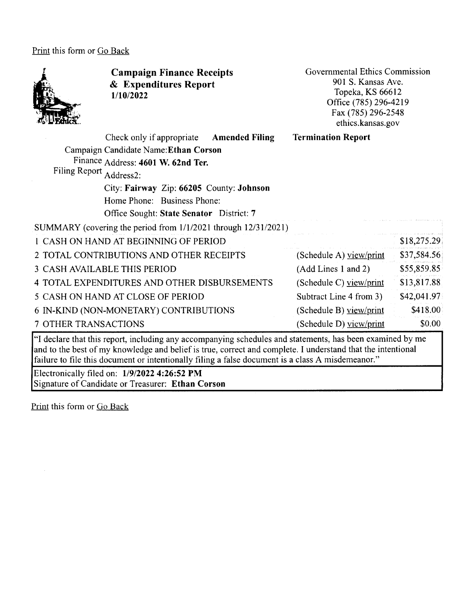Print this form or Go Back



and to the best of my knowledge and belief is true, correct and complete. I understand that the intentional failure to file this document or intentionally filing a false document is a class A misdemeanor."

Electronically filed on: **1/9/2022 4:26:52 PM**  Signature of Candidate or Treasurer: **Ethan Corson**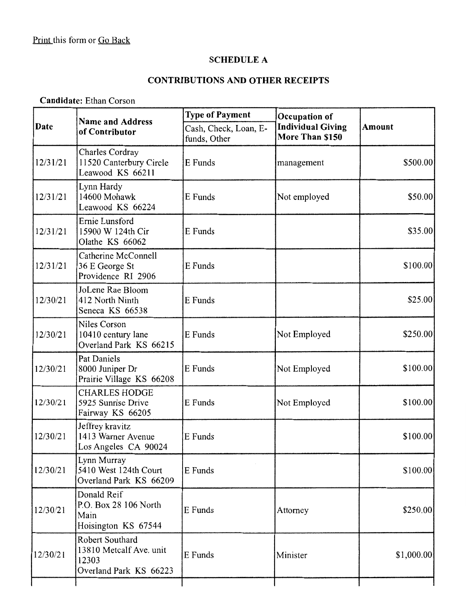### **SCHEDULE A**

# **CONTRIBUTIONS AND OTHER RECEIPTS**

**Candidate:** Ethan Corson

|          | <b>Name and Address</b>                                                       | <b>Type of Payment</b>                | Occupation of                               |             |
|----------|-------------------------------------------------------------------------------|---------------------------------------|---------------------------------------------|-------------|
| Date     | of Contributor                                                                | Cash, Check, Loan, E-<br>funds, Other | <b>Individual Giving</b><br>More Than \$150 | Amount      |
| 12/31/21 | Charles Cordray<br>11520 Canterbury Circle<br>Leawood KS 66211                | E Funds                               | management                                  | \$500.00    |
| 12/31/21 | Lynn Hardy<br>14600 Mohawk<br>Leawood KS 66224                                | E Funds                               | Not employed                                | \$50.00]    |
| 12/31/21 | Ernie Lunsford<br>15900 W 124th Cir<br>Olathe KS 66062                        | E Funds                               |                                             | \$35.00     |
| 12/31/21 | Catherine McConnell<br>36 E George St<br>Providence RI 2906                   | E Funds                               |                                             | \$100.00    |
| 12/30/21 | JoLene Rae Bloom<br>412 North Ninth<br>Seneca KS 66538                        | E Funds                               |                                             | \$25.00]    |
| 12/30/21 | Niles Corson<br>10410 century lane<br>Overland Park KS 66215                  | E Funds                               | Not Employed                                | \$250.00]   |
| 12/30/21 | Pat Daniels<br>8000 Juniper Dr<br>Prairie Village KS 66208                    | E Funds                               | Not Employed                                | \$100.00]   |
| 12/30/21 | <b>CHARLES HODGE</b><br>5925 Sunrise Drive<br>Fairway KS 66205                | E Funds                               | Not Employed                                | \$100.00    |
| 12/30/21 | Jeffrey kravitz<br>1413 Warner Avenue<br>Los Angeles CA 90024                 | E Funds                               |                                             | \$100.00    |
| 12/30/21 | Lynn Murray<br>5410 West 124th Court<br>Overland Park KS 66209                | E Funds                               |                                             | \$100.00]   |
| 12/30/21 | Donald Reif<br>P.O. Box 28 106 North<br>Main<br>Hoisington KS 67544           | E Funds                               | Attorney                                    | \$250.00]   |
| 12/30/21 | Robert Southard<br>13810 Metcalf Ave. unit<br>12303<br>Overland Park KS 66223 | E Funds                               | Minister                                    | \$1,000.00] |
|          |                                                                               |                                       |                                             |             |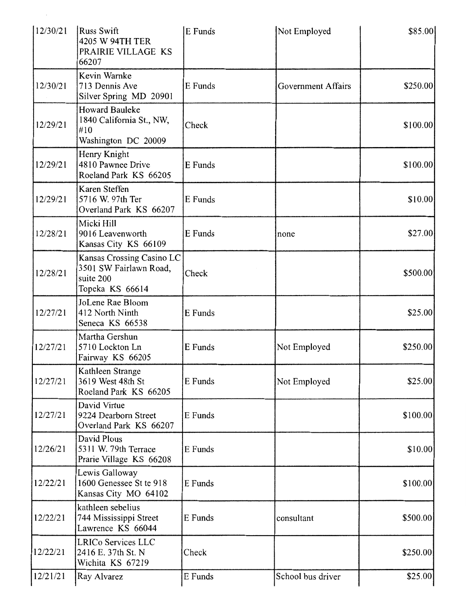| 12/30/21 | <b>Russ Swift</b><br>4205 W 94TH TER<br>PRAIRIE VILLAGE KS<br>66207                 | E Funds | Not Employed              | \$85.00   |
|----------|-------------------------------------------------------------------------------------|---------|---------------------------|-----------|
| 12/30/21 | Kevin Warnke<br>713 Dennis Ave<br>Silver Spring MD 20901                            | E Funds | <b>Government Affairs</b> | \$250.00  |
| 12/29/21 | <b>Howard Bauleke</b><br>1840 California St., NW,<br>#10<br>Washington DC 20009     | Check   |                           | \$100.00] |
| 12/29/21 | Henry Knight<br>4810 Pawnee Drive<br>Roeland Park KS 66205                          | E Funds |                           | \$100.00  |
| 12/29/21 | Karen Steffen<br>5716 W. 97th Ter<br>Overland Park KS 66207                         | E Funds |                           | \$10.00   |
| 12/28/21 | Micki Hill<br>9016 Leavenworth<br>Kansas City KS 66109                              | E Funds | none                      | \$27.00   |
| 12/28/21 | Kansas Crossing Casino LC<br>3501 SW Fairlawn Road,<br>suite 200<br>Topeka KS 66614 | Check   |                           | \$500.00  |
| 12/27/21 | JoLene Rae Bloom<br>412 North Ninth<br>Seneca KS 66538                              | E Funds |                           | \$25.00   |
| 12/27/21 | Martha Gershun<br>5710 Lockton Ln<br>Fairway KS 66205                               | E Funds | Not Employed              | \$250.00  |
| 12/27/21 | Kathleen Strange<br>3619 West 48th St<br>Roeland Park KS 66205                      | E Funds | Not Employed              | \$25.00   |
| 12/27/21 | David Virtue<br>9224 Dearborn Street<br>Overland Park KS 66207                      | E Funds |                           | \$100.00] |
| 12/26/21 | David Plous<br>5311 W. 79th Terrace<br>Prarie Village KS 66208                      | E Funds |                           | \$10.00   |
| 12/22/21 | Lewis Galloway<br>1600 Genessee St te 918<br>Kansas City MO 64102                   | E Funds |                           | \$100.00  |
| 12/22/21 | kathleen sebelius<br>744 Mississippi Street<br>Lawrence KS 66044                    | E Funds | consultant                | \$500.00  |
| 12/22/21 | LRICo Services LLC<br>2416 E. 37th St. N<br>Wichita KS 67219                        | Check   |                           | \$250.00  |
| 12/21/21 | Ray Alvarez                                                                         | E Funds | School bus driver         | \$25.00   |

 $\mathcal{O}(\mathcal{O}_\mathcal{O})$  . The contract of the set of the set of the set of the set of the  $\mathcal{O}(\mathcal{O}_\mathcal{O})$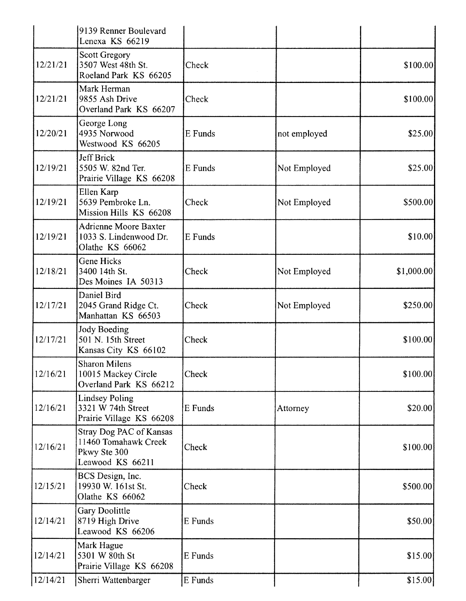|          | 9139 Renner Boulevard<br>Lenexa KS 66219                                                   |         |              |             |
|----------|--------------------------------------------------------------------------------------------|---------|--------------|-------------|
| 12/21/21 | <b>Scott Gregory</b><br>3507 West 48th St.<br>Roeland Park KS 66205                        | Check   |              | \$100.00]   |
| 12/21/21 | Mark Herman<br>9855 Ash Drive<br>Overland Park KS 66207                                    | Check   |              | \$100.00]   |
| 12/20/21 | George Long<br>4935 Norwood<br>Westwood KS 66205                                           | E Funds | not employed | \$25.00     |
| 12/19/21 | Jeff Brick<br>5505 W. 82nd Ter.<br>Prairie Village KS 66208                                | E Funds | Not Employed | \$25.00     |
| 12/19/21 | Ellen Karp<br>5639 Pembroke Ln.<br>Mission Hills KS 66208                                  | Check   | Not Employed | \$500.00    |
| 12/19/21 | <b>Adrienne Moore Baxter</b><br>1033 S. Lindenwood Dr.<br>Olathe KS 66062                  | E Funds |              | \$10.00     |
| 12/18/21 | <b>Gene Hicks</b><br>3400 14th St.<br>Des Moines IA 50313                                  | Check   | Not Employed | \$1,000.00] |
| 12/17/21 | Daniel Bird<br>2045 Grand Ridge Ct.<br>Manhattan KS 66503                                  | Check   | Not Employed | \$250.00    |
| 12/17/21 | <b>Jody Boeding</b><br>501 N. 15th Street<br>Kansas City KS 66102                          | Check   |              | \$100.00    |
| 12/16/21 | <b>Sharon Milens</b><br>10015 Mackey Circle<br>Overland Park KS 66212                      | Check   |              | \$100.00    |
| 12/16/21 | <b>Lindsey Poling</b><br>3321 W 74th Street<br>Prairie Village KS 66208                    | E Funds | Attorney     | \$20.00]    |
| 12/16/21 | <b>Stray Dog PAC of Kansas</b><br>11460 Tomahawk Creek<br>Pkwy Ste 300<br>Leawood KS 66211 | Check   |              | \$100.00    |
| 12/15/21 | BCS Design, Inc.<br>19930 W. 161st St.<br>Olathe KS 66062                                  | Check   |              | \$500.00    |
| 12/14/21 | Gary Doolittle<br>8719 High Drive<br>Leawood KS 66206                                      | E Funds |              | \$50.00     |
| 12/14/21 | Mark Hague<br>5301 W 80th St<br>Prairie Village KS 66208                                   | E Funds |              | \$15.00     |
| 12/14/21 | Sherri Wattenbarger                                                                        | E Funds |              | \$15.00]    |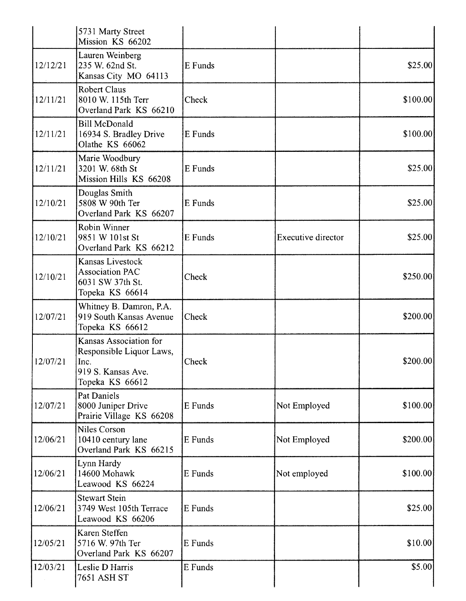|          | 5731 Marty Street<br>Mission KS 66202                                                               |         |                    |           |
|----------|-----------------------------------------------------------------------------------------------------|---------|--------------------|-----------|
| 12/12/21 | Lauren Weinberg<br>235 W. 62nd St.<br>Kansas City MO 64113                                          | E Funds |                    | \$25.00   |
| 12/11/21 | <b>Robert Claus</b><br>8010 W. 115th Terr<br>Overland Park KS 66210                                 | Check   |                    | \$100.00  |
| 12/11/21 | <b>Bill McDonald</b><br>16934 S. Bradley Drive<br>Olathe KS 66062                                   | E Funds |                    | \$100.00] |
| 12/11/21 | Marie Woodbury<br>3201 W. 68th St<br>Mission Hills KS 66208                                         | E Funds |                    | \$25.00   |
| 12/10/21 | Douglas Smith<br>5808 W 90th Ter<br>Overland Park KS 66207                                          | E Funds |                    | \$25.00   |
| 12/10/21 | Robin Winner<br>9851 W 101st St<br>Overland Park KS 66212                                           | E Funds | Executive director | \$25.00   |
| 12/10/21 | Kansas Livestock<br><b>Association PAC</b><br>6031 SW 37th St.<br>Topeka KS 66614                   | Check   |                    | \$250.00  |
| 12/07/21 | Whitney B. Damron, P.A.<br>919 South Kansas Avenue<br>Topeka KS 66612                               | Check   |                    | \$200.00] |
| 12/07/21 | Kansas Association for<br>Responsible Liquor Laws,<br>Inc.<br>919 S. Kansas Ave.<br>Topeka KS 66612 | Check   |                    | \$200.00  |
| 12/07/21 | <b>Pat Daniels</b><br>8000 Juniper Drive<br>Prairie Village KS 66208                                | E Funds | Not Employed       | \$100.00  |
| 12/06/21 | <b>Niles Corson</b><br>10410 century lane<br>Overland Park KS 66215                                 | E Funds | Not Employed       | \$200.00] |
| 12/06/21 | Lynn Hardy<br>14600 Mohawk<br>Leawood KS 66224                                                      | E Funds | Not employed       | \$100.00] |
| 12/06/21 | <b>Stewart Stein</b><br>3749 West 105th Terrace<br>Leawood KS 66206                                 | E Funds |                    | \$25.00   |
| 12/05/21 | Karen Steffen<br>5716 W. 97th Ter<br>Overland Park KS 66207                                         | E Funds |                    | \$10.00   |
| 12/03/21 | Leslie D Harris<br>7651 ASH ST                                                                      | E Funds |                    | \$5.00    |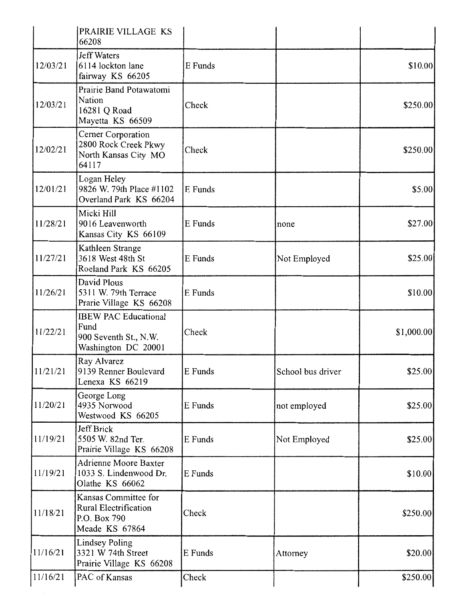|          | PRAIRIE VILLAGE KS<br>66208                                                            |         |                   |             |
|----------|----------------------------------------------------------------------------------------|---------|-------------------|-------------|
| 12/03/21 | <b>Jeff Waters</b><br>6114 lockton lane<br>fairway KS 66205                            | E Funds |                   | \$10.00     |
| 12/03/21 | Prairie Band Potawatomi<br>Nation<br>16281 Q Road<br>Mayetta KS 66509                  | Check   |                   | \$250.00    |
| 12/02/21 | Cerner Corporation<br>2800 Rock Creek Pkwy<br>North Kansas City MO<br>64117            | Check   |                   | \$250.00]   |
| 12/01/21 | Logan Heley<br>9826 W. 79th Place #1102<br>Overland Park KS 66204                      | E Funds |                   | \$5.00      |
| 11/28/21 | Micki Hill<br>9016 Leavenworth<br>Kansas City KS 66109                                 | E Funds | none              | \$27.00]    |
| 11/27/21 | Kathleen Strange<br>3618 West 48th St<br>Roeland Park KS 66205                         | E Funds | Not Employed      | \$25.00     |
| 11/26/21 | David Plous<br>5311 W. 79th Terrace<br>Prarie Village KS 66208                         | E Funds |                   | \$10.00     |
| 11/22/21 | <b>IBEW PAC Educational</b><br>Fund<br>900 Seventh St., N.W.<br>Washington DC 20001    | Check   |                   | \$1,000.00] |
| 11/21/21 | Ray Alvarez<br>9139 Renner Boulevard<br>Lenexa KS 66219                                | E Funds | School bus driver | \$25.00     |
| 11/20/21 | George Long<br>4935 Norwood<br>Westwood KS 66205                                       | E Funds | not employed      | \$25.00     |
| 11/19/21 | Jeff Brick<br>5505 W. 82nd Ter.<br>Prairie Village KS 66208                            | E Funds | Not Employed      | \$25.00     |
| 11/19/21 | <b>Adrienne Moore Baxter</b><br>1033 S. Lindenwood Dr.<br>Olathe KS 66062              | E Funds |                   | \$10.00     |
| 11/18/21 | Kansas Committee for<br><b>Rural Electrification</b><br>P.O. Box 790<br>Meade KS 67864 | Check   |                   | \$250.00    |
| 11/16/21 | <b>Lindsey Poling</b><br>3321 W 74th Street<br>Prairie Village KS 66208                | E Funds | Attorney          | \$20.00     |
| 11/16/21 | PAC of Kansas                                                                          | Check   |                   | \$250.00]   |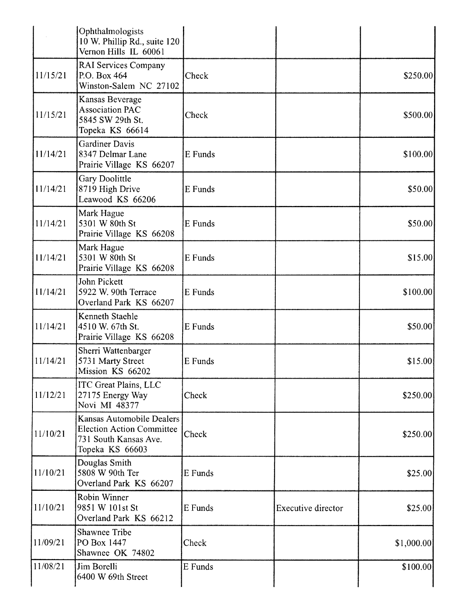|          | Ophthalmologists<br>10 W. Phillip Rd., suite 120<br>Vernon Hills IL 60061                                 |         |                    |             |
|----------|-----------------------------------------------------------------------------------------------------------|---------|--------------------|-------------|
| 11/15/21 | <b>RAI Services Company</b><br>P.O. Box 464<br>Winston-Salem NC 27102                                     | Check   |                    | \$250.00    |
| 11/15/21 | Kansas Beverage<br><b>Association PAC</b><br>5845 SW 29th St.<br>Topeka KS 66614                          | Check   |                    | \$500.00]   |
| 11/14/21 | <b>Gardiner Davis</b><br>8347 Delmar Lane<br>Prairie Village KS 66207                                     | E Funds |                    | \$100.00]   |
| 11/14/21 | Gary Doolittle<br>8719 High Drive<br>Leawood KS 66206                                                     | E Funds |                    | \$50.00]    |
| 11/14/21 | Mark Hague<br>5301 W 80th St<br>Prairie Village KS 66208                                                  | E Funds |                    | \$50.00     |
| 11/14/21 | Mark Hague<br>5301 W 80th St<br>Prairie Village KS 66208                                                  | E Funds |                    | \$15.00     |
| 11/14/21 | John Pickett<br>5922 W. 90th Terrace<br>Overland Park KS 66207                                            | E Funds |                    | \$100.00]   |
| 11/14/21 | Kenneth Staehle<br>4510 W. 67th St.<br>Prairie Village KS 66208                                           | E Funds |                    | \$50.00     |
| 11/14/21 | Sherri Wattenbarger<br>5731 Marty Street<br>Mission KS 66202                                              | E Funds |                    | \$15.00     |
| 11/12/21 | <b>ITC Great Plains, LLC</b><br>27175 Energy Way<br>Novi MI 48377                                         | Check   |                    | \$250.00    |
| 11/10/21 | Kansas Automobile Dealers<br><b>Election Action Committee</b><br>731 South Kansas Ave.<br>Topeka KS 66603 | Check   |                    | \$250.00    |
| 11/10/21 | Douglas Smith<br>5808 W 90th Ter<br>Overland Park KS 66207                                                | E Funds |                    | \$25.00     |
| 11/10/21 | Robin Winner<br>9851 W 101st St<br>Overland Park KS 66212                                                 | E Funds | Executive director | \$25.00     |
| 11/09/21 | <b>Shawnee Tribe</b><br>PO Box 1447<br>Shawnee OK 74802                                                   | Check   |                    | \$1,000.00] |
| 11/08/21 | Jim Borelli<br>6400 W 69th Street                                                                         | E Funds |                    | \$100.00]   |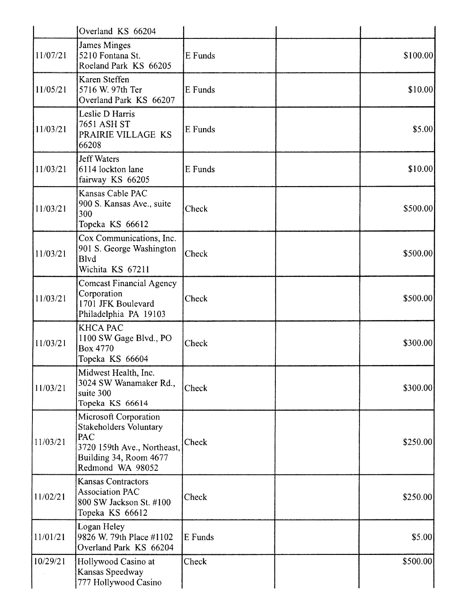|          | Overland KS 66204                                                                                                                   |         |           |
|----------|-------------------------------------------------------------------------------------------------------------------------------------|---------|-----------|
| 11/07/21 | James Minges<br>5210 Fontana St.<br>Roeland Park KS 66205                                                                           | E Funds | \$100.00] |
| 11/05/21 | Karen Steffen<br>5716 W. 97th Ter<br>Overland Park KS 66207                                                                         | E Funds | \$10.00   |
| 11/03/21 | Leslie D Harris<br>7651 ASH ST<br>PRAIRIE VILLAGE KS<br>66208                                                                       | E Funds | \$5.00    |
| 11/03/21 | <b>Jeff Waters</b><br>6114 lockton lane<br>fairway KS 66205                                                                         | E Funds | \$10.00   |
| 11/03/21 | Kansas Cable PAC<br>900 S. Kansas Ave., suite<br>300<br>Topeka KS 66612                                                             | Check   | \$500.00  |
| 11/03/21 | Cox Communications, Inc.<br>901 S. George Washington<br><b>B</b> lvd<br>Wichita KS 67211                                            | Check   | \$500.00  |
| 11/03/21 | <b>Comcast Financial Agency</b><br>Corporation<br>1701 JFK Boulevard<br>Philadelphia PA 19103                                       | Check   | \$500.00  |
| 11/03/21 | <b>KHCA PAC</b><br>1100 SW Gage Blvd., PO<br>Box 4770<br>Topeka KS 66604                                                            | Check   | \$300.00] |
| 11/03/21 | Midwest Health, Inc.<br>3024 SW Wanamaker Rd.,<br>suite 300<br>Topeka KS 66614                                                      | Check   | \$300.00  |
| 11/03/21 | Microsoft Corporation<br>Stakeholders Voluntary<br>PAC<br>3720 159th Ave., Northeast,<br>Building 34, Room 4677<br>Redmond WA 98052 | Check   | \$250.00] |
| 11/02/21 | <b>Kansas Contractors</b><br><b>Association PAC</b><br>800 SW Jackson St. #100<br>Topeka KS 66612                                   | Check   | \$250.00  |
| 11/01/21 | Logan Heley<br>9826 W. 79th Place #1102<br>Overland Park KS 66204                                                                   | E Funds | \$5.00    |
| 10/29/21 | Hollywood Casino at<br>Kansas Speedway<br>777 Hollywood Casino                                                                      | Check   | \$500.00  |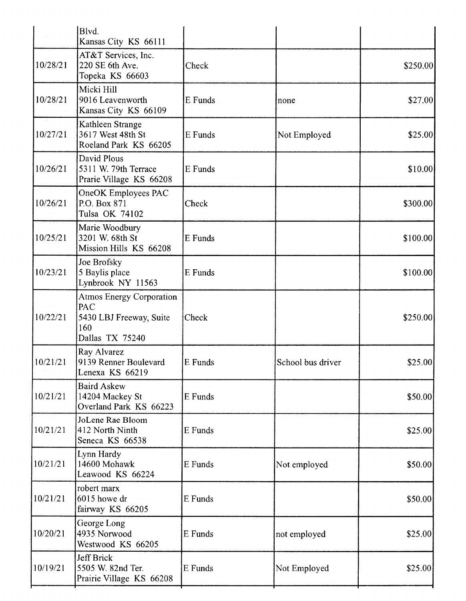|          | Blvd.<br>Kansas City KS 66111                                                               |                |                   |          |
|----------|---------------------------------------------------------------------------------------------|----------------|-------------------|----------|
| 10/28/21 | AT&T Services, Inc.<br>220 SE 6th Ave.<br>Topeka KS 66603                                   | Check          |                   | \$250.00 |
| 10/28/21 | Micki Hill<br>9016 Leavenworth<br>Kansas City KS 66109                                      | E Funds        | none              | \$27.00  |
| 10/27/21 | Kathleen Strange<br>3617 West 48th St<br>Roeland Park KS 66205                              | E Funds        | Not Employed      | \$25.00  |
| 10/26/21 | David Plous<br>5311 W. 79th Terrace<br>Prarie Village KS 66208                              | E Funds        |                   | \$10.00  |
| 10/26/21 | OneOK Employees PAC<br>P.O. Box 871<br>Tulsa OK 74102                                       | Check          |                   | \$300.00 |
| 10/25/21 | Marie Woodbury<br>3201 W. 68th St<br>Mission Hills KS 66208                                 | E Funds        |                   | \$100.00 |
| 10/23/21 | Joe Brofsky<br>5 Baylis place<br>Lynbrook NY 11563                                          | E Funds        |                   | \$100.00 |
| 10/22/21 | <b>Atmos Energy Corporation</b><br>PAC<br>5430 LBJ Freeway, Suite<br>160<br>Dallas TX 75240 | Check          |                   | \$250.00 |
| 10/21/21 | Ray Alvarez<br>9139 Renner Boulevard<br>Lenexa KS 66219                                     | <b>E</b> Funds | School bus driver | \$25.00] |
| 10/21/21 | <b>Baird Askew</b><br>14204 Mackey St<br>Overland Park KS 66223                             | E Funds        |                   | \$50.00] |
| 10/21/21 | JoLene Rae Bloom<br>412 North Ninth<br>Seneca KS 66538                                      | E Funds        |                   | \$25.00  |
| 10/21/21 | Lynn Hardy<br>14600 Mohawk<br>Leawood KS 66224                                              | E Funds        | Not employed      | \$50.00  |
| 10/21/21 | robert marx<br>6015 howe dr<br>fairway KS 66205                                             | E Funds        |                   | \$50.00  |
| 10/20/21 | George Long<br>4935 Norwood<br>Westwood KS 66205                                            | E Funds        | not employed      | \$25.00  |
| 10/19/21 | Jeff Brick<br>5505 W. 82nd Ter.<br>Prairie Village KS 66208                                 | E Funds        | Not Employed      | \$25.00] |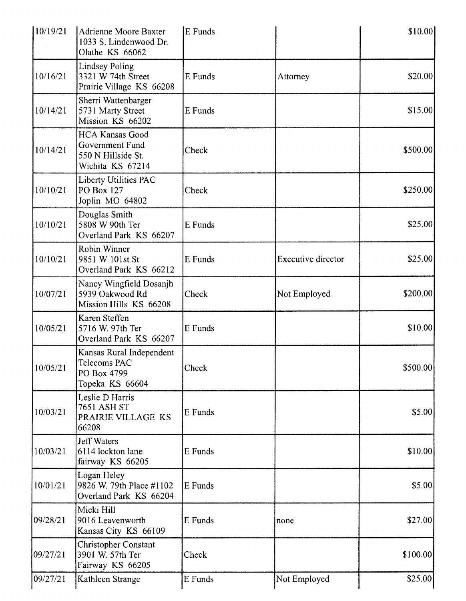| \$10.00  |                           | E Funds | Adrienne Moore Baxter<br>1033 S. Lindenwood Dr.<br>Olathe KS 66062                  | 10/19/21 |
|----------|---------------------------|---------|-------------------------------------------------------------------------------------|----------|
| \$20.00  | Attorney                  | E Funds | <b>Lindsey Poling</b><br>3321 W 74th Street<br>Prairie Village KS 66208             | 10/16/21 |
| \$15.00  |                           | E Funds | Sherri Wattenbarger<br>5731 Marty Street<br>Mission KS 66202                        | 10/14/21 |
| \$500.00 |                           | Check   | <b>HCA Kansas Good</b><br>Government Fund<br>550 N Hillside St.<br>Wichita KS 67214 | 10/14/21 |
| \$250.00 |                           | Check   | Liberty Utilities PAC<br>PO Box 127<br>Joplin MO 64802                              | 10/10/21 |
| \$25.00  |                           | E Funds | Douglas Smith<br>5808 W 90th Ter<br>Overland Park KS 66207                          | 10/10/21 |
| \$25.00  | <b>Executive director</b> | E Funds | Robin Winner<br>9851 W 101st St<br>Overland Park KS 66212                           | 10/10/21 |
| \$200.00 | Not Employed              | Check   | Nancy Wingfield Dosanjh<br>5939 Oakwood Rd<br>Mission Hills KS 66208                | 10/07/21 |
| \$10.00  |                           | E Funds | Karen Steffen<br>5716 W. 97th Ter<br>Overland Park KS 66207                         | 10/05/21 |
| \$500.00 |                           | Check   | Kansas Rural Independent<br>Telecoms PAC<br>PO Box 4799<br>Topeka KS 66604          | 10/05/21 |
| \$5.00   |                           | E Funds | Leslie D Harris<br><b>7651 ASH ST</b><br>PRAIRIE VILLAGE KS<br>66208                | 10/03/21 |
| \$10.00  |                           | E Funds | <b>Jeff Waters</b><br>6114 lockton lane<br>fairway KS 66205                         | 10/03/21 |
| \$5.00   |                           | E Funds | Logan Heley<br>9826 W. 79th Place #1102<br>Overland Park KS 66204                   | 10/01/21 |
| \$27.00  | none                      | E Funds | Micki Hill<br>9016 Leavenworth<br>Kansas City KS 66109                              | 09/28/21 |
| \$100.00 |                           | Check   | <b>Christopher Constant</b><br>3901 W. 57th Ter<br>Fairway KS 66205                 | 09/27/21 |
| \$25.00  | Not Employed              | E Funds | Kathleen Strange                                                                    | 09/27/21 |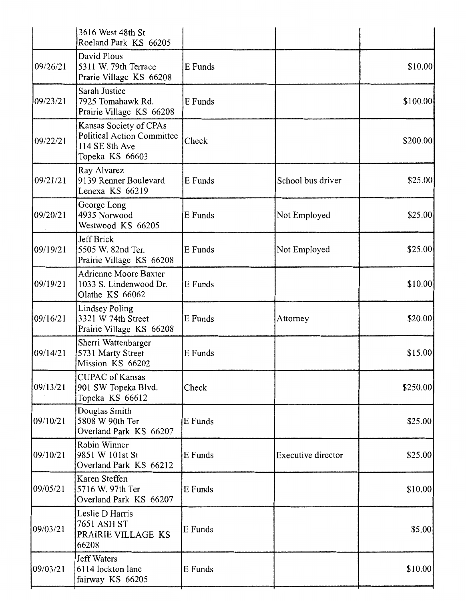|          | 3616 West 48th St<br>Roeland Park KS 66205                                                       |         |                    |           |
|----------|--------------------------------------------------------------------------------------------------|---------|--------------------|-----------|
| 09/26/21 | David Plous<br>5311 W. 79th Terrace<br>Prarie Village KS 66208                                   | E Funds |                    | \$10.00   |
| 09/23/21 | Sarah Justice<br>7925 Tomahawk Rd.<br>Prairie Village KS 66208                                   | E Funds |                    | \$100.00  |
| 09/22/21 | Kansas Society of CPAs<br><b>Political Action Committee</b><br>114 SE 8th Ave<br>Topeka KS 66603 | Check   |                    | \$200.00] |
| 09/21/21 | Ray Alvarez<br>9139 Renner Boulevard<br>Lenexa KS 66219                                          | E Funds | School bus driver  | \$25.00   |
| 09/20/21 | George Long<br>4935 Norwood<br>Westwood KS 66205                                                 | E Funds | Not Employed       | \$25.00   |
| 09/19/21 | Jeff Brick<br>5505 W. 82nd Ter.<br>Prairie Village KS 66208                                      | E Funds | Not Employed       | \$25.00   |
| 09/19/21 | <b>Adrienne Moore Baxter</b><br>1033 S. Lindenwood Dr.<br>Olathe KS 66062                        | E Funds |                    | \$10.00   |
| 09/16/21 | <b>Lindsey Poling</b><br>3321 W 74th Street<br>Prairie Village KS 66208                          | E Funds | Attorney           | \$20.00   |
| 09/14/21 | Sherri Wattenbarger<br>5731 Marty Street<br>Mission KS 66202                                     | E Funds |                    | \$15.00   |
| 09/13/21 | <b>CUPAC</b> of Kansas<br>901 SW Topeka Blvd.<br>Topeka KS 66612                                 | Check   |                    | \$250.00  |
| 09/10/21 | Douglas Smith<br>5808 W 90th Ter<br>Overland Park KS 66207                                       | E Funds |                    | \$25.00   |
| 09/10/21 | Robin Winner<br>9851 W 101st St<br>Overland Park KS 66212                                        | E Funds | Executive director | \$25.00   |
| 09/05/21 | Karen Steffen<br>5716 W. 97th Ter<br>Overland Park KS 66207                                      | E Funds |                    | \$10.00   |
| 09/03/21 | Leslie D Harris<br>7651 ASH ST<br>PRAIRIE VILLAGE KS<br>66208                                    | E Funds |                    | \$5.00    |
| 09/03/21 | <b>Jeff Waters</b><br>6114 lockton lane<br>fairway KS 66205                                      | E Funds |                    | \$10.00   |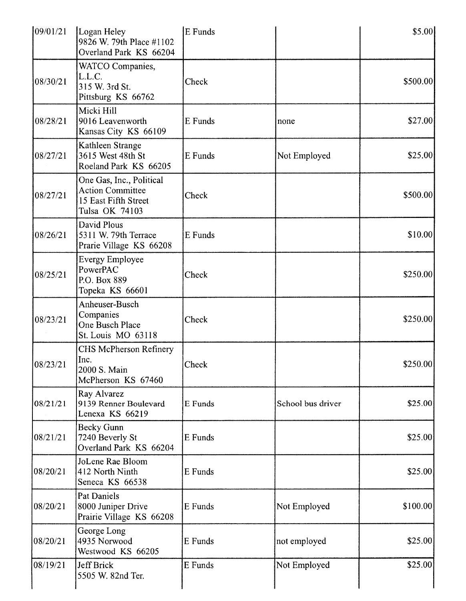| 09/01/21 | Logan Heley<br>9826 W. 79th Place #1102<br>Overland Park KS 66204                             | E Funds |                   | \$5.00]   |
|----------|-----------------------------------------------------------------------------------------------|---------|-------------------|-----------|
| 08/30/21 | WATCO Companies,<br>L.L.C.<br>315 W. 3rd St.<br>Pittsburg KS 66762                            | Check   |                   | \$500.00  |
| 08/28/21 | Micki Hill<br>9016 Leavenworth<br>Kansas City KS 66109                                        | E Funds | none              | \$27.00   |
| 08/27/21 | Kathleen Strange<br>3615 West 48th St<br>Roeland Park KS 66205                                | E Funds | Not Employed      | \$25.00   |
| 08/27/21 | One Gas, Inc., Political<br><b>Action Committee</b><br>15 East Fifth Street<br>Tulsa OK 74103 | Check   |                   | \$500.00  |
| 08/26/21 | David Plous<br>5311 W. 79th Terrace<br>Prarie Village KS 66208                                | E Funds |                   | \$10.00   |
| 08/25/21 | <b>Evergy Employee</b><br>PowerPAC<br>P.O. Box 889<br>Topeka KS 66601                         | Check   |                   | \$250.00] |
| 08/23/21 | Anheuser-Busch<br>Companies<br>One Busch Place<br>St. Louis MO 63118                          | Check   |                   | \$250.00  |
| 08/23/21 | <b>CHS McPherson Refinery</b><br>Inc.<br>2000 S. Main<br>McPherson KS 67460                   | Check   |                   | \$250.00] |
| 08/21/21 | Ray Alvarez<br>9139 Renner Boulevard<br>Lenexa KS 66219                                       | E Funds | School bus driver | \$25.00]  |
| 08/21/21 | <b>Becky Gunn</b><br>7240 Beverly St<br>Overland Park KS 66204                                | E Funds |                   | \$25.00]  |
| 08/20/21 | JoLene Rae Bloom<br>412 North Ninth<br>Seneca KS 66538                                        | E Funds |                   | \$25.00   |
| 08/20/21 | Pat Daniels<br>8000 Juniper Drive<br>Prairie Village KS 66208                                 | E Funds | Not Employed      | \$100.00  |
| 08/20/21 | George Long<br>4935 Norwood<br>Westwood KS 66205                                              | E Funds | not employed      | \$25.00   |
| 08/19/21 | Jeff Brick<br>5505 W. 82nd Ter.                                                               | E Funds | Not Employed      | \$25.00   |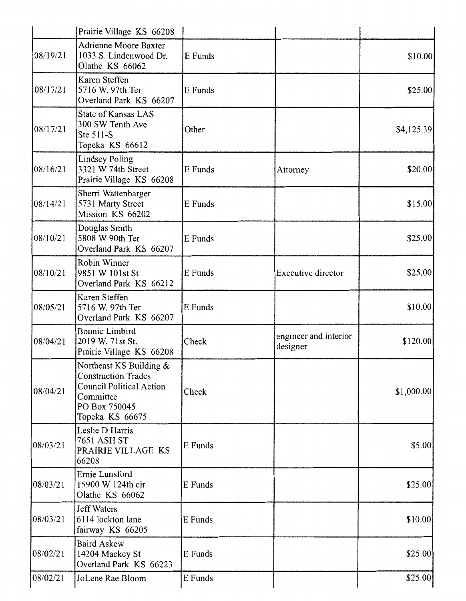|          | Prairie Village KS 66208                                                                                                                  |         |                                   |            |
|----------|-------------------------------------------------------------------------------------------------------------------------------------------|---------|-----------------------------------|------------|
| 08/19/21 | <b>Adrienne Moore Baxter</b><br>1033 S. Lindenwood Dr.<br>Olathe KS 66062                                                                 | E Funds |                                   | \$10.00]   |
| 08/17/21 | Karen Steffen<br>5716 W. 97th Ter<br>Overland Park KS 66207                                                                               | E Funds |                                   | \$25.00    |
| 08/17/21 | <b>State of Kansas LAS</b><br>300 SW Tenth Ave<br>Ste 511-S<br>Topeka KS 66612                                                            | Other   |                                   | \$4,125.39 |
| 08/16/21 | <b>Lindsey Poling</b><br>3321 W 74th Street<br>Prairie Village KS 66208                                                                   | E Funds | Attorney                          | \$20.00    |
| 08/14/21 | Sherri Wattenbarger<br>5731 Marty Street<br>Mission KS 66202                                                                              | E Funds |                                   | \$15.00    |
| 08/10/21 | Douglas Smith<br>5808 W 90th Ter<br>Overland Park KS 66207                                                                                | E Funds |                                   | \$25.00    |
| 08/10/21 | Robin Winner<br>9851 W 101st St<br>Overland Park KS 66212                                                                                 | E Funds | Executive director                | \$25.00    |
| 08/05/21 | Karen Steffen<br>5716 W. 97th Ter<br>Overland Park KS 66207                                                                               | E Funds |                                   | \$10.00    |
| 08/04/21 | <b>Bonnie Limbird</b><br>2019 W. 71st St.<br>Prairie Village KS 66208                                                                     | Check   | engineer and interior<br>designer | \$120.00   |
| 08/04/21 | Northeast KS Building &<br><b>Construction Trades</b><br><b>Council Political Action</b><br>Committee<br>PO Box 750045<br>Topeka KS 66675 | Check   |                                   | \$1,000.00 |
| 08/03/21 | Leslie D Harris<br><b>7651 ASH ST</b><br>PRAIRIE VILLAGE KS<br>66208                                                                      | E Funds |                                   | \$5.00     |
| 08/03/21 | Ernie Lunsford<br>15900 W 124th cir<br>Olathe KS 66062                                                                                    | E Funds |                                   | \$25.00    |
| 08/03/21 | <b>Jeff Waters</b><br>6114 lockton lane<br>fairway KS 66205                                                                               | E Funds |                                   | \$10.00    |
| 08/02/21 | <b>Baird Askew</b><br>14204 Mackey St<br>Overland Park KS 66223                                                                           | E Funds |                                   | \$25.00    |
| 08/02/21 | JoLene Rae Bloom                                                                                                                          | E Funds |                                   | \$25.00    |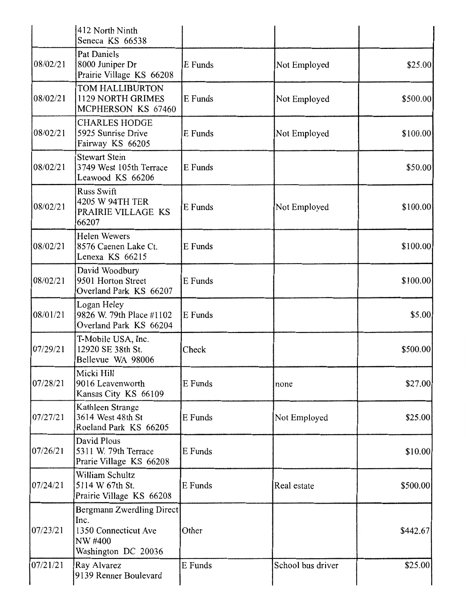|          | 412 North Ninth<br>Seneca KS 66538                                                          |         |                   |           |
|----------|---------------------------------------------------------------------------------------------|---------|-------------------|-----------|
| 08/02/21 | Pat Daniels<br>8000 Juniper Dr<br>Prairie Village KS 66208                                  | E Funds | Not Employed      | \$25.00   |
| 08/02/21 | TOM HALLIBURTON<br>1129 NORTH GRIMES<br>MCPHERSON KS 67460                                  | E Funds | Not Employed      | \$500.00  |
| 08/02/21 | <b>CHARLES HODGE</b><br>5925 Sunrise Drive<br>Fairway KS 66205                              | E Funds | Not Employed      | \$100.00  |
| 08/02/21 | <b>Stewart Stein</b><br>3749 West 105th Terrace<br>Leawood KS 66206                         | E Funds |                   | \$50.00   |
| 08/02/21 | <b>Russ Swift</b><br>4205 W 94TH TER<br>PRAIRIE VILLAGE KS<br>66207                         | E Funds | Not Employed      | \$100.00] |
| 08/02/21 | <b>Helen Wewers</b><br>8576 Caenen Lake Ct.<br>Lenexa KS 66215                              | E Funds |                   | \$100.00  |
| 08/02/21 | David Woodbury<br>9501 Horton Street<br>Overland Park KS 66207                              | E Funds |                   | \$100.00] |
| 08/01/21 | Logan Heley<br>9826 W. 79th Place #1102<br>Overland Park KS 66204                           | E Funds |                   | \$5.00    |
| 07/29/21 | T-Mobile USA, Inc.<br>12920 SE 38th St.<br>Bellevue WA 98006                                | Check   |                   | \$500.00  |
| 07/28/21 | Micki Hill<br>9016 Leavenworth<br>Kansas City KS 66109                                      | E Funds | none              | \$27.00   |
| 07/27/21 | Kathleen Strange<br>3614 West 48th St<br>Roeland Park KS 66205                              | E Funds | Not Employed      | \$25.00   |
| 07/26/21 | David Plous<br>5311 W. 79th Terrace<br>Prarie Village KS 66208                              | E Funds |                   | \$10.00   |
| 07/24/21 | William Schultz<br>5114 W 67th St.<br>Prairie Village KS 66208                              | E Funds | Real estate       | \$500.00  |
| 07/23/21 | Bergmann Zwerdling Direct<br>Inc.<br>1350 Connecticut Ave<br>NW #400<br>Washington DC 20036 | Other   |                   | \$442.67  |
| 07/21/21 | Ray Alvarez<br>9139 Renner Boulevard                                                        | E Funds | School bus driver | \$25.00   |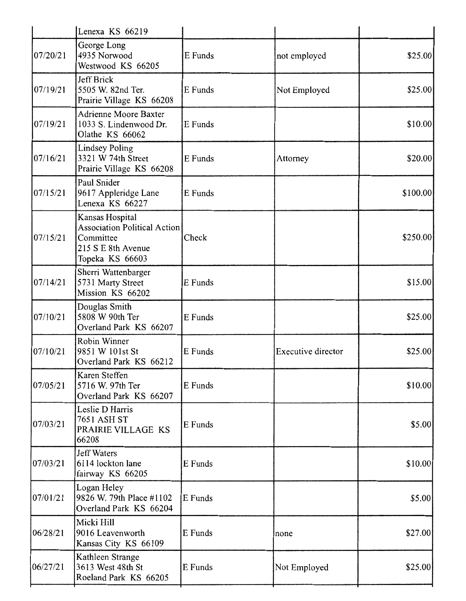|          | Lenexa KS 66219                                                                                              |         |                    |          |
|----------|--------------------------------------------------------------------------------------------------------------|---------|--------------------|----------|
| 07/20/21 | George Long<br>4935 Norwood<br>Westwood KS 66205                                                             | E Funds | not employed       | \$25.00  |
| 07/19/21 | Jeff Brick<br>5505 W. 82nd Ter.<br>Prairie Village KS 66208                                                  | E Funds | Not Employed       | \$25.00  |
| 07/19/21 | <b>Adrienne Moore Baxter</b><br>1033 S. Lindenwood Dr.<br>Olathe KS 66062                                    | E Funds |                    | \$10.00  |
| 07/16/21 | <b>Lindsey Poling</b><br>3321 W 74th Street<br>Prairie Village KS 66208                                      | E Funds | Attorney           | \$20.00  |
| 07/15/21 | Paul Snider<br>9617 Appleridge Lane<br>Lenexa KS 66227                                                       | E Funds |                    | \$100.00 |
| 07/15/21 | Kansas Hospital<br><b>Association Political Action</b><br>Committee<br>215 S E 8th Avenue<br>Topeka KS 66603 | Check   |                    | \$250.00 |
| 07/14/21 | Sherri Wattenbarger<br>5731 Marty Street<br>Mission KS 66202                                                 | E Funds |                    | \$15.00  |
| 07/10/21 | Douglas Smith<br>5808 W 90th Ter<br>Overland Park KS 66207                                                   | E Funds |                    | \$25.00  |
| 07/10/21 | Robin Winner<br>9851 W 101st St<br>Overland Park KS 66212                                                    | E Funds | Executive director | \$25.00  |
| 07/05/21 | Karen Steffen<br>5716 W. 97th Ter<br>Overland Park KS 66207                                                  | E Funds |                    | \$10.00  |
| 07/03/21 | Leslie D Harris<br>7651 ASH ST<br>PRAIRIE VILLAGE KS<br>66208                                                | E Funds |                    | \$5.00   |
| 07/03/21 | <b>Jeff Waters</b><br>6114 lockton lane<br>fairway KS 66205                                                  | E Funds |                    | \$10.00  |
| 07/01/21 | Logan Heley<br>9826 W. 79th Place #1102<br>Overland Park KS 66204                                            | E Funds |                    | \$5.00   |
| 06/28/21 | Micki Hill<br>9016 Leavenworth<br>Kansas City KS 66109                                                       | E Funds | none               | \$27.00  |
| 06/27/21 | Kathleen Strange<br>3613 West 48th St<br>Roeland Park KS 66205                                               | E Funds | Not Employed       | \$25.00  |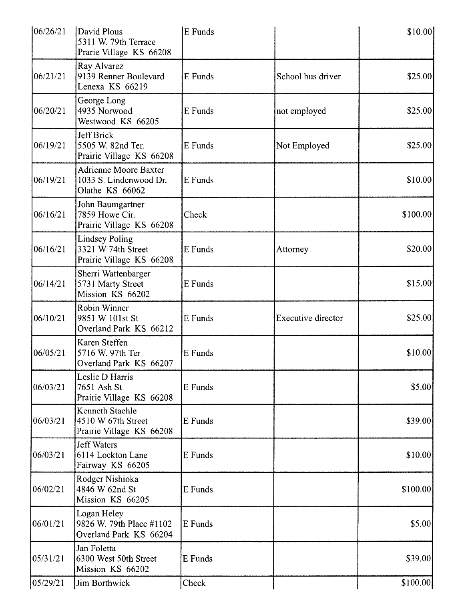| 106/26/21 | David Plous<br>5311 W. 79th Terrace<br>Prarie Village KS 66208            | E Funds |                    | \$10.00   |
|-----------|---------------------------------------------------------------------------|---------|--------------------|-----------|
| 06/21/21  | Ray Alvarez<br>9139 Renner Boulevard<br>Lenexa KS 66219                   | E Funds | School bus driver  | \$25.00   |
| 06/20/21  | George Long<br>4935 Norwood<br>Westwood KS 66205                          | E Funds | not employed       | \$25.00   |
| 06/19/21  | Jeff Brick<br>5505 W. 82nd Ter.<br>Prairie Village KS 66208               | E Funds | Not Employed       | \$25.00   |
| 06/19/21  | <b>Adrienne Moore Baxter</b><br>1033 S. Lindenwood Dr.<br>Olathe KS 66062 | E Funds |                    | \$10.00   |
| 06/16/21  | John Baumgartner<br>7859 Howe Cir.<br>Prairie Village KS 66208            | Check   |                    | \$100.00] |
| 06/16/21  | <b>Lindsey Poling</b><br>3321 W 74th Street<br>Prairie Village KS 66208   | E Funds | Attorney           | \$20.00   |
| 06/14/21  | Sherri Wattenbarger<br>5731 Marty Street<br>Mission KS 66202              | E Funds |                    | \$15.00   |
| 06/10/21  | Robin Winner<br>9851 W 101st St<br>Overland Park KS 66212                 | E Funds | Executive director | \$25.00   |
| 06/05/21  | Karen Steffen<br>5716 W. 97th Ter<br>Overland Park KS 66207               | E Funds |                    | \$10.00   |
| 06/03/21  | Leslie D Harris<br>7651 Ash St<br>Prairie Village KS 66208                | E Funds |                    | \$5.00    |
| 06/03/21  | Kenneth Staehle<br>4510 W 67th Street<br>Prairie Village KS 66208         | E Funds |                    | \$39.00   |
| 06/03/21  | <b>Jeff Waters</b><br>6114 Lockton Lane<br>Fairway KS 66205               | E Funds |                    | \$10.00   |
| 06/02/21  | Rodger Nishioka<br>4846 W 62nd St<br>Mission KS 66205                     | E Funds |                    | \$100.00] |
| 06/01/21  | Logan Heley<br>9826 W. 79th Place #1102<br>Overland Park KS 66204         | E Funds |                    | \$5.00    |
| 05/31/21  | Jan Foletta<br>6300 West 50th Street<br>Mission KS 66202                  | E Funds |                    | \$39.00   |
| 05/29/21  | Jim Borthwick                                                             | Check   |                    | \$100.00] |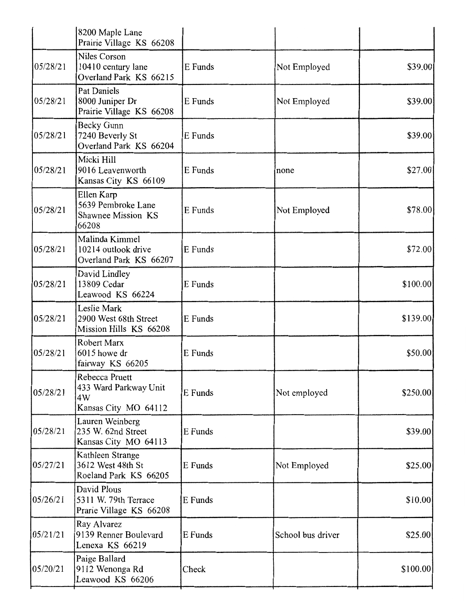|          | 8200 Maple Lane<br>Prairie Village KS 66208                            |         |                   |           |
|----------|------------------------------------------------------------------------|---------|-------------------|-----------|
| 05/28/21 | Niles Corson<br>10410 century lane<br>Overland Park KS 66215           | E Funds | Not Employed      | \$39.00   |
| 05/28/21 | Pat Daniels<br>8000 Juniper Dr<br>Prairie Village KS 66208             | E Funds | Not Employed      | \$39.00]  |
| 05/28/21 | Becky Gunn<br>7240 Beverly St<br>Overland Park KS 66204                | E Funds |                   | \$39.00   |
| 05/28/21 | Micki Hill<br>9016 Leavenworth<br>Kansas City KS 66109                 | E Funds | none              | \$27.00   |
| 05/28/21 | Ellen Karp<br>5639 Pembroke Lane<br><b>Shawnee Mission KS</b><br>66208 | E Funds | Not Employed      | \$78.00   |
| 05/28/21 | Malinda Kimmel<br>10214 outlook drive<br>Overland Park KS 66207        | E Funds |                   | \$72.00   |
| 05/28/21 | David Lindley<br>13809 Cedar<br>Leawood KS 66224                       | E Funds |                   | \$100.00] |
| 05/28/21 | Leslie Mark<br>2900 West 68th Street<br>Mission Hills KS 66208         | E Funds |                   | \$139.00  |
| 05/28/21 | Robert Marx<br>6015 howe dr<br>fairway KS 66205                        | E Funds |                   | \$50.00   |
| 05/28/21 | Rebecca Pruett<br>433 Ward Parkway Unit<br>4W<br>Kansas City MO 64112  | E Funds | Not employed      | \$250.00  |
| 05/28/21 | Lauren Weinberg<br>235 W. 62nd Street<br>Kansas City MO 64113          | E Funds |                   | \$39.00   |
| 05/27/21 | Kathleen Strange<br>3612 West 48th St<br>Roeland Park KS 66205         | E Funds | Not Employed      | \$25.00]  |
| 05/26/21 | David Plous<br>5311 W. 79th Terrace<br>Prarie Village KS 66208         | E Funds |                   | \$10.00   |
| 05/21/21 | Ray Alvarez<br>9139 Renner Boulevard<br>Lenexa KS 66219                | E Funds | School bus driver | \$25.00   |
| 05/20/21 | Paige Ballard<br>9112 Wenonga Rd<br>Leawood KS 66206                   | Check   |                   | \$100.00] |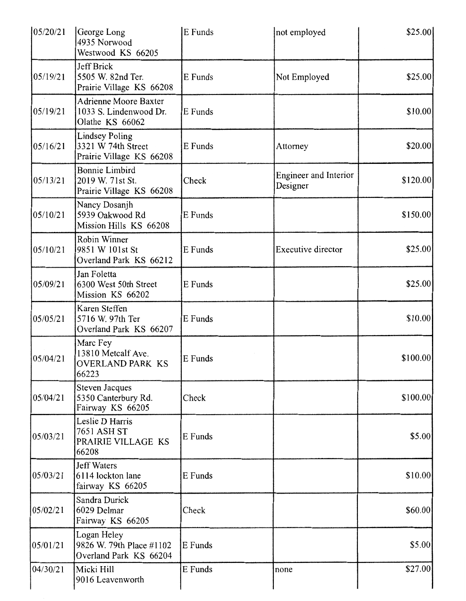| 05/20/21 | George Long<br>4935 Norwood<br>Westwood KS 66205                          | E Funds | not employed                             | \$25.00]  |
|----------|---------------------------------------------------------------------------|---------|------------------------------------------|-----------|
| 05/19/21 | Jeff Brick<br>5505 W. 82nd Ter.<br>Prairie Village KS 66208               | E Funds | Not Employed                             | \$25.00   |
| 05/19/21 | <b>Adrienne Moore Baxter</b><br>1033 S. Lindenwood Dr.<br>Olathe KS 66062 | E Funds |                                          | \$10.00   |
| 05/16/21 | <b>Lindsey Poling</b><br>3321 W 74th Street<br>Prairie Village KS 66208   | E Funds | Attorney                                 | \$20.00]  |
| 05/13/21 | <b>Bonnie Limbird</b><br>2019 W. 71st St.<br>Prairie Village KS 66208     | Check   | <b>Engineer and Interior</b><br>Designer | \$120.00] |
| 05/10/21 | Nancy Dosanjh<br>5939 Oakwood Rd<br>Mission Hills KS 66208                | E Funds |                                          | \$150.00  |
| 05/10/21 | Robin Winner<br>9851 W 101st St<br>Overland Park KS 66212                 | E Funds | <b>Executive director</b>                | \$25.00   |
| 05/09/21 | Jan Foletta<br>6300 West 50th Street<br>Mission KS 66202                  | E Funds |                                          | \$25.00   |
| 05/05/21 | Karen Steffen<br>5716 W. 97th Ter<br>Overland Park KS 66207               | E Funds |                                          | \$10.00   |
| 05/04/21 | Marc Fey<br>13810 Metcalf Ave.<br>OVERLAND PARK KS<br>66223               | E Funds |                                          | \$100.00] |
| 05/04/21 | <b>Steven Jacques</b><br>5350 Canterbury Rd.<br>Fairway KS 66205          | Check   |                                          | \$100.00  |
| 05/03/21 | Leslie D Harris<br>7651 ASH ST<br>PRAIRIE VILLAGE KS<br>66208             | E Funds |                                          | \$5.00    |
| 05/03/21 | <b>Jeff Waters</b><br>6114 lockton lane<br>fairway KS 66205               | E Funds |                                          | \$10.00   |
| 05/02/21 | Sandra Durick<br>6029 Delmar<br>Fairway KS 66205                          | Check   |                                          | \$60.00]  |
| 05/01/21 | Logan Heley<br>9826 W. 79th Place #1102<br>Overland Park KS 66204         | E Funds |                                          | \$5.00    |
| 04/30/21 | Micki Hill<br>9016 Leavenworth                                            | E Funds | none                                     | \$27.00]  |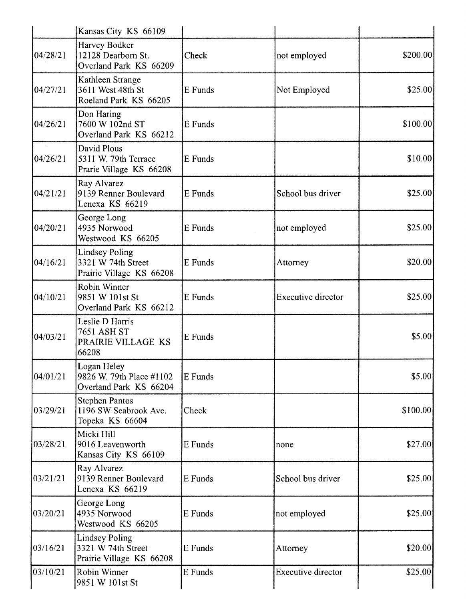|          | Kansas City KS 66109                                                    |         |                           |           |
|----------|-------------------------------------------------------------------------|---------|---------------------------|-----------|
| 04/28/21 | Harvey Bodker<br>12128 Dearborn St.<br>Overland Park KS 66209           | Check   | not employed              | \$200.00  |
| 04/27/21 | Kathleen Strange<br>3611 West 48th St<br>Roeland Park KS 66205          | E Funds | Not Employed              | \$25.00   |
| 04/26/21 | Don Haring<br>7600 W 102nd ST<br>Overland Park KS 66212                 | E Funds |                           | \$100.00] |
| 04/26/21 | David Plous<br>5311 W. 79th Terrace<br>Prarie Village KS 66208          | E Funds |                           | \$10.00   |
| 04/21/21 | Ray Alvarez<br>9139 Renner Boulevard<br>Lenexa KS 66219                 | E Funds | School bus driver         | \$25.00   |
| 04/20/21 | George Long<br>4935 Norwood<br>Westwood KS 66205                        | E Funds | not employed              | \$25.00   |
| 04/16/21 | <b>Lindsey Poling</b><br>3321 W 74th Street<br>Prairie Village KS 66208 | E Funds | Attorney                  | \$20.00   |
| 04/10/21 | Robin Winner<br>9851 W 101st St<br>Overland Park KS 66212               | E Funds | <b>Executive director</b> | \$25.00]  |
| 04/03/21 | Leslie D Harris<br>7651 ASH ST<br>PRAIRIE VILLAGE KS<br>66208           | E Funds |                           | \$5.00    |
| 04/01/21 | Logan Heley<br>9826 W. 79th Place #1102<br>Overland Park KS 66204       | E Funds |                           | \$5.00    |
| 03/29/21 | <b>Stephen Pantos</b><br>1196 SW Seabrook Ave.<br>Topeka KS 66604       | Check   |                           | \$100.00  |
| 03/28/21 | Micki Hill<br>9016 Leavenworth<br>Kansas City KS 66109                  | E Funds | none                      | \$27.00   |
| 03/21/21 | Ray Alvarez<br>9139 Renner Boulevard<br>Lenexa KS 66219                 | E Funds | School bus driver         | \$25.00   |
| 03/20/21 | George Long<br>4935 Norwood<br>Westwood KS 66205                        | E Funds | not employed              | \$25.00   |
| 03/16/21 | <b>Lindsey Poling</b><br>3321 W 74th Street<br>Prairie Village KS 66208 | E Funds | Attorney                  | \$20.00]  |
| 03/10/21 | Robin Winner<br>9851 W 101st St                                         | E Funds | <b>Executive director</b> | \$25.00   |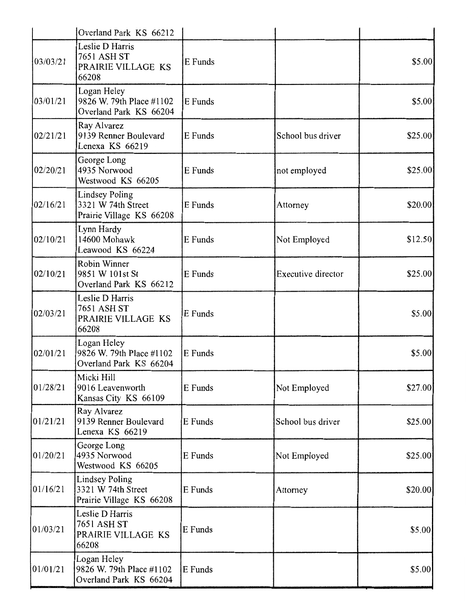|          | Overland Park KS 66212                                                  |         |                    |         |
|----------|-------------------------------------------------------------------------|---------|--------------------|---------|
| 03/03/21 | Leslie D Harris<br>7651 ASH ST<br>PRAIRIE VILLAGE KS<br>66208           | E Funds |                    | \$5.00  |
| 03/01/21 | Logan Heley<br>9826 W. 79th Place #1102<br>Overland Park KS 66204       | E Funds |                    | \$5.00] |
| 02/21/21 | Ray Alvarez<br>9139 Renner Boulevard<br>Lenexa KS 66219                 | E Funds | School bus driver  | \$25.00 |
| 02/20/21 | George Long<br>4935 Norwood<br>Westwood KS 66205                        | E Funds | not employed       | \$25.00 |
| 02/16/21 | <b>Lindsey Poling</b><br>3321 W 74th Street<br>Prairie Village KS 66208 | E Funds | Attorney           | \$20.00 |
| 02/10/21 | Lynn Hardy<br>14600 Mohawk<br>Leawood KS 66224                          | E Funds | Not Employed       | \$12.50 |
| 02/10/21 | <b>Robin Winner</b><br>9851 W 101st St<br>Overland Park KS 66212        | E Funds | Executive director | \$25.00 |
| 02/03/21 | Leslie D Harris<br>7651 ASH ST<br>PRAIRIE VILLAGE KS<br>66208           | E Funds |                    | \$5.00  |
| 02/01/21 | Logan Heley<br>9826 W. 79th Place #1102<br>Overland Park KS 66204       | E Funds |                    | \$5.00  |
| 01/28/21 | Micki Hill<br>9016 Leavenworth<br>Kansas City KS 66109                  | E Funds | Not Employed       | \$27.00 |
| 01/21/21 | Ray Alvarez<br>9139 Renner Boulevard<br>Lenexa KS 66219                 | E Funds | School bus driver  | \$25.00 |
| 01/20/21 | George Long<br>4935 Norwood<br>Westwood KS 66205                        | E Funds | Not Employed       | \$25.00 |
| 01/16/21 | <b>Lindsey Poling</b><br>3321 W 74th Street<br>Prairie Village KS 66208 | E Funds | Attorney           | \$20.00 |
| 01/03/21 | Leslie D Harris<br><b>7651 ASH ST</b><br>PRAIRIE VILLAGE KS<br>66208    | E Funds |                    | \$5.00  |
| 01/01/21 | Logan Heley<br>9826 W. 79th Place #1102<br>Overland Park KS 66204       | E Funds |                    | \$5.00  |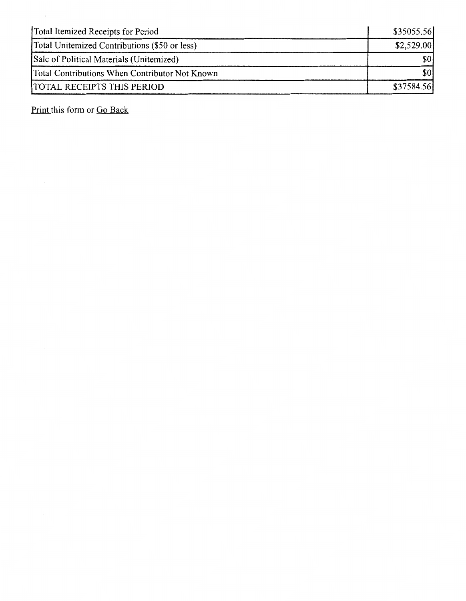| Total Itemized Receipts for Period             | \$35055.56 |
|------------------------------------------------|------------|
| Total Unitemized Contributions (\$50 or less)  | \$2,529.00 |
| Sale of Political Materials (Unitemized)       | \$0        |
| Total Contributions When Contributor Not Known | \$0'       |
| <b>TOTAL RECEIPTS THIS PERIOD</b>              | \$37584.56 |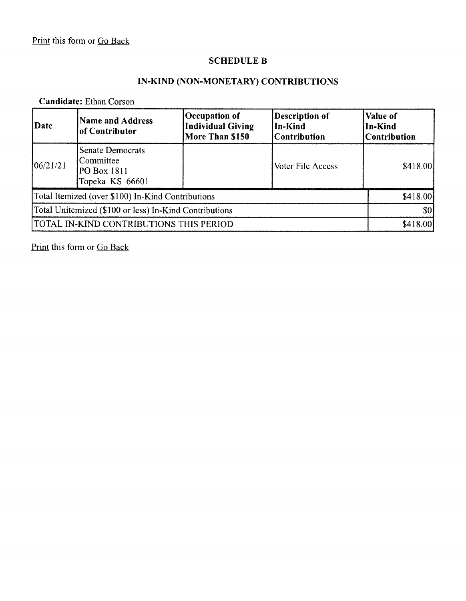## **SCHEDULE B**

# **IN-KIND (NON-MONETARY) CONTRIBUTIONS**

### **Candidate:** Ethan Corson

| Date                                                   | <b>Name and Address</b><br>of Contributor                              | Occupation of<br><b>Individual Giving</b><br>More Than \$150 | <b>Description of</b><br>In-Kind<br><b>Contribution</b> | Value of<br>In-Kind<br><b>Contribution</b> |
|--------------------------------------------------------|------------------------------------------------------------------------|--------------------------------------------------------------|---------------------------------------------------------|--------------------------------------------|
| 106/21/21                                              | <b>Senate Democrats</b><br>Committee<br>PO Box 1811<br>Topeka KS 66601 |                                                              | Voter File Access                                       | \$418.00                                   |
|                                                        | Total Itemized (over \$100) In-Kind Contributions                      |                                                              |                                                         | \$418.00                                   |
| Total Unitemized (\$100 or less) In-Kind Contributions |                                                                        |                                                              | \$0                                                     |                                            |
|                                                        | TOTAL IN-KIND CONTRIBUTIONS THIS PERIOD                                |                                                              |                                                         | \$418.00                                   |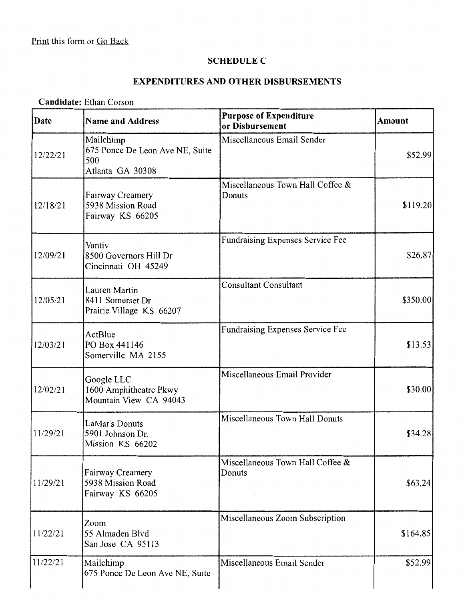# **SCHEDULE C**

## **EXPENDITURES AND OTHER DISBURSEMENTS**

### **Candidate:** Ethan Corson

| Date     | <b>Name and Address</b>                                                 | <b>Purpose of Expenditure</b><br>or Disbursement | <b>Amount</b> |
|----------|-------------------------------------------------------------------------|--------------------------------------------------|---------------|
| 12/22/21 | Mailchimp<br>675 Ponce De Leon Ave NE, Suite<br>500<br>Atlanta GA 30308 | Miscellaneous Email Sender                       | \$52.99       |
| 12/18/21 | <b>Fairway Creamery</b><br>5938 Mission Road<br>Fairway KS 66205        | Miscellaneous Town Hall Coffee &<br>Donuts       | \$119.20      |
| 12/09/21 | Vantiv<br>8500 Governors Hill Dr<br>Cincinnati OH 45249                 | <b>Fundraising Expenses Service Fee</b>          | \$26.87       |
| 12/05/21 | Lauren Martin<br>8411 Somerset Dr<br>Prairie Village KS 66207           | <b>Consultant Consultant</b>                     | \$350.00      |
| 12/03/21 | ActBlue<br>PO Box 441146<br>Somerville MA 2155                          | <b>Fundraising Expenses Service Fee</b>          | \$13.53       |
| 12/02/21 | Google LLC<br>1600 Amphitheatre Pkwy<br>Mountain View CA 94043          | Miscellaneous Email Provider                     | \$30.00       |
| 11/29/21 | LaMar's Donuts<br>5901 Johnson Dr.<br>Mission KS 66202                  | Miscellaneous Town Hall Donuts                   | \$34.28       |
| 11/29/21 | Fairway Creamery<br>5938 Mission Road<br>Fairway KS 66205               | Miscellaneous Town Hall Coffee &<br>Donuts       | \$63.24       |
| 11/22/21 | Zoom<br>55 Almaden Blvd<br>San Jose CA 95113                            | Miscellaneous Zoom Subscription                  | \$164.85      |
| 11/22/21 | Mailchimp<br>675 Ponce De Leon Ave NE, Suite                            | Miscellaneous Email Sender                       | \$52.99       |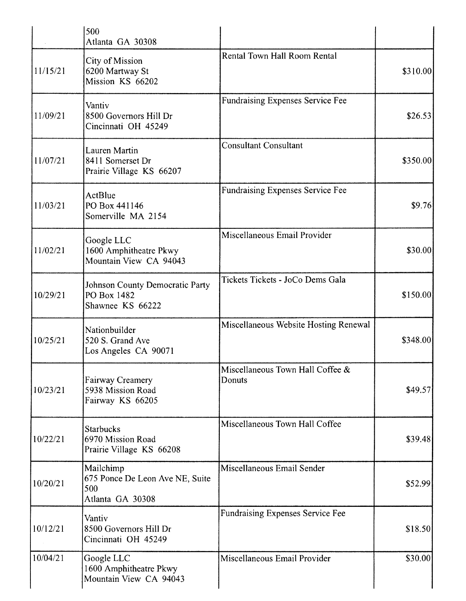|          | 500<br>Atlanta GA 30308                                                 |                                            |           |
|----------|-------------------------------------------------------------------------|--------------------------------------------|-----------|
| 11/15/21 | City of Mission<br>6200 Martway St<br>Mission KS 66202                  | Rental Town Hall Room Rental               | \$310.00] |
| 11/09/21 | Vantiv<br>8500 Governors Hill Dr<br>Cincinnati OH 45249                 | <b>Fundraising Expenses Service Fee</b>    | \$26.53   |
| 11/07/21 | Lauren Martin<br>8411 Somerset Dr<br>Prairie Village KS 66207           | <b>Consultant Consultant</b>               | \$350.00  |
| 11/03/21 | ActBlue<br>PO Box 441146<br>Somerville MA 2154                          | <b>Fundraising Expenses Service Fee</b>    | \$9.76    |
| 11/02/21 | Google LLC<br>1600 Amphitheatre Pkwy<br>Mountain View CA 94043          | Miscellaneous Email Provider               | \$30.00   |
| 10/29/21 | Johnson County Democratic Party<br>PO Box 1482<br>Shawnee KS 66222      | Tickets Tickets - JoCo Dems Gala           | \$150.00  |
| 10/25/21 | Nationbuilder<br>520 S. Grand Ave<br>Los Angeles CA 90071               | Miscellaneous Website Hosting Renewal      | \$348.00  |
| 10/23/21 | Fairway Creamery<br>5938 Mission Road<br>Fairway KS 66205               | Miscellaneous Town Hall Coffee &<br>Donuts | \$49.57   |
| 10/22/21 | <b>Starbucks</b><br>6970 Mission Road<br>Prairie Village KS 66208       | Miscellaneous Town Hall Coffee             | \$39.48   |
| 10/20/21 | Mailchimp<br>675 Ponce De Leon Ave NE, Suite<br>500<br>Atlanta GA 30308 | Miscellaneous Email Sender                 | \$52.99   |
| 10/12/21 | Vantiv<br>8500 Governors Hill Dr<br>Cincinnati OH 45249                 | Fundraising Expenses Service Fee           | \$18.50   |
| 10/04/21 | Google LLC<br>1600 Amphitheatre Pkwy<br>Mountain View CA 94043          | Miscellaneous Email Provider               | \$30.00   |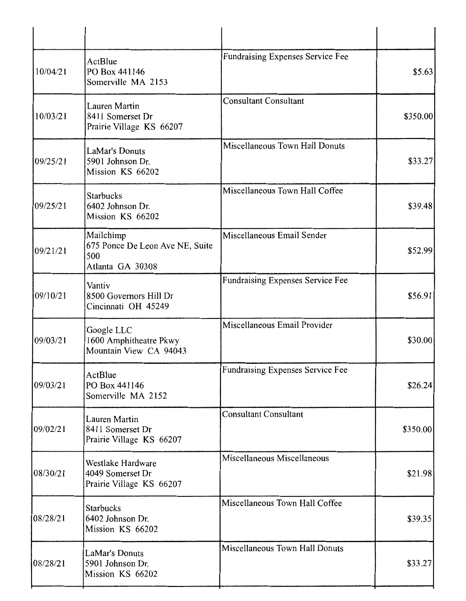| 10/04/21 | ActBlue<br>PO Box 441146<br>Somerville MA 2153                          | <b>Fundraising Expenses Service Fee</b> | \$5.63]  |
|----------|-------------------------------------------------------------------------|-----------------------------------------|----------|
| 10/03/21 | Lauren Martin<br>8411 Somerset Dr<br>Prairie Village KS 66207           | <b>Consultant Consultant</b>            | \$350.00 |
| 09/25/21 | LaMar's Donuts<br>5901 Johnson Dr.<br>Mission KS 66202                  | Miscellaneous Town Hall Donuts          | \$33.27  |
| 09/25/21 | <b>Starbucks</b><br>6402 Johnson Dr.<br>Mission KS 66202                | Miscellaneous Town Hall Coffee          | \$39.48  |
| 09/21/21 | Mailchimp<br>675 Ponce De Leon Ave NE, Suite<br>500<br>Atlanta GA 30308 | Miscellaneous Email Sender              | \$52.99  |
| 09/10/21 | Vantiv<br>8500 Governors Hill Dr<br>Cincinnati OH 45249                 | Fundraising Expenses Service Fee        | \$56.91  |
| 09/03/21 | Google LLC<br>1600 Amphitheatre Pkwy<br>Mountain View CA 94043          | Miscellaneous Email Provider            | \$30.00  |
| 09/03/21 | ActBlue<br>PO Box 441146<br>Somerville MA 2152                          | Fundraising Expenses Service Fee        | \$26.24  |
| 09/02/21 | <b>Lauren Martin</b><br>8411 Somerset Dr<br>Prairie Village KS 66207    | <b>Consultant Consultant</b>            | \$350.00 |
| 08/30/21 | Westlake Hardware<br>4049 Somerset Dr<br>Prairie Village KS 66207       | Miscellaneous Miscellaneous             | \$21.98  |
| 08/28/21 | <b>Starbucks</b><br>6402 Johnson Dr.<br>Mission KS 66202                | Miscellaneous Town Hall Coffee          | \$39.35  |
| 08/28/21 | LaMar's Donuts<br>5901 Johnson Dr.<br>Mission KS 66202                  | Miscellaneous Town Hall Donuts          | \$33.27  |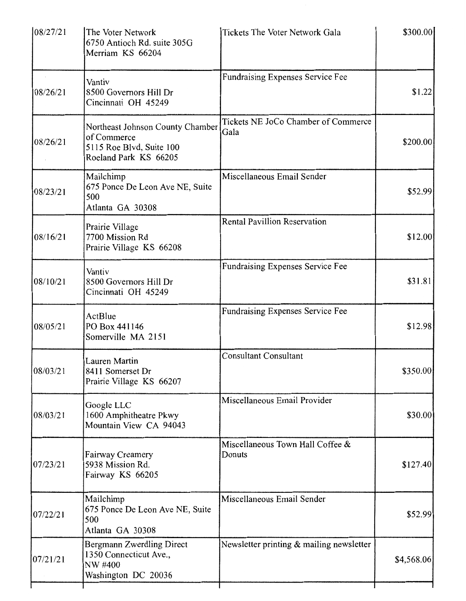| 08/27/21 | The Voter Network<br>6750 Antioch Rd. suite 305G<br>Merriam KS 66204                                 | Tickets The Voter Network Gala              | \$300.00   |
|----------|------------------------------------------------------------------------------------------------------|---------------------------------------------|------------|
| 08/26/21 | Vantiv<br>8500 Governors Hill Dr<br>Cincinnati OH 45249                                              | Fundraising Expenses Service Fee            | \$1.22     |
| 08/26/21 | Northeast Johnson County Chamber<br>of Commerce<br>5115 Roe Blvd, Suite 100<br>Roeland Park KS 66205 | Tickets NE JoCo Chamber of Commerce<br>Gala | \$200.00   |
| 08/23/21 | Mailchimp<br>675 Ponce De Leon Ave NE, Suite<br>500<br>Atlanta GA 30308                              | Miscellaneous Email Sender                  | \$52.99    |
| 08/16/21 | Prairie Village<br>7700 Mission Rd<br>Prairie Village KS 66208                                       | Rental Pavillion Reservation                | \$12.00    |
| 08/10/21 | Vantiv<br>8500 Governors Hill Dr<br>Cincinnati OH 45249                                              | Fundraising Expenses Service Fee            | \$31.81    |
| 08/05/21 | ActBlue<br>PO Box 441146<br>Somerville MA 2151                                                       | Fundraising Expenses Service Fee            | \$12.98    |
| 08/03/21 | Lauren Martin<br>8411 Somerset Dr<br>Prairie Village KS 66207                                        | <b>Consultant Consultant</b>                | \$350.00   |
| 08/03/21 | Google LLC<br>1600 Amphitheatre Pkwy<br>Mountain View CA 94043                                       | Miscellaneous Email Provider                | \$30.00]   |
| 07/23/21 | Fairway Creamery<br>5938 Mission Rd.<br>Fairway KS 66205                                             | Miscellaneous Town Hall Coffee &<br>Donuts  | \$127.40   |
| 07/22/21 | Mailchimp<br>675 Ponce De Leon Ave NE, Suite<br>500<br>Atlanta GA 30308                              | Miscellaneous Email Sender                  | \$52.99    |
| 07/21/21 | Bergmann Zwerdling Direct<br>1350 Connecticut Ave.,<br>NW #400<br>Washington DC 20036                | Newsletter printing $\&$ mailing newsletter | \$4,568.06 |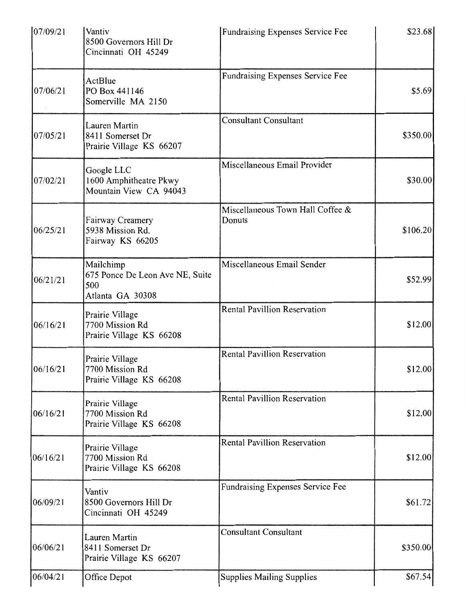| 07/09/21 | Vantiv<br>8500 Governors Hill Dr<br>Cincinnati OH 45249                 | Fundraising Expenses Service Fee           | \$23.68  |
|----------|-------------------------------------------------------------------------|--------------------------------------------|----------|
| 07/06/21 | ActBlue<br>PO Box 441146<br>Somerville MA 2150                          | Fundraising Expenses Service Fee           | \$5.69   |
| 07/05/21 | Lauren Martin<br>8411 Somerset Dr<br>Prairie Village KS 66207           | <b>Consultant Consultant</b>               | \$350.00 |
| 07/02/21 | Google LLC<br>1600 Amphitheatre Pkwy<br>Mountain View CA 94043          | Miscellaneous Email Provider               | \$30.00  |
| 06/25/21 | Fairway Creamery<br>5938 Mission Rd.<br>Fairway KS 66205                | Miscellaneous Town Hall Coffee &<br>Donuts | \$106.20 |
| 06/21/21 | Mailchimp<br>675 Ponce De Leon Ave NE, Suite<br>500<br>Atlanta GA 30308 | Miscellaneous Email Sender                 | \$52.99  |
| 06/16/21 | Prairie Village<br>7700 Mission Rd<br>Prairie Village KS 66208          | <b>Rental Pavillion Reservation</b>        | \$12.00  |
| 06/16/21 | Prairie Village<br>7700 Mission Rd<br>Prairie Village KS 66208          | <b>Rental Pavillion Reservation</b>        | \$12.00  |
| 06/16/21 | Prairie Village<br>7700 Mission Rd<br>Prairie Village KS 66208          | <b>Rental Pavillion Reservation</b>        | \$12.00  |
| 06/16/21 | Prairie Village<br>7700 Mission Rd<br>Prairie Village KS 66208          | <b>Rental Pavillion Reservation</b>        | \$12.00  |
| 06/09/21 | Vantiv<br>8500 Governors Hill Dr<br>Cincinnati OH 45249                 | <b>Fundraising Expenses Service Fee</b>    | \$61.72  |
| 06/06/21 | Lauren Martin<br>8411 Somerset Dr<br>Prairie Village KS 66207           | <b>Consultant Consultant</b>               | \$350.00 |
| 06/04/21 | Office Depot                                                            | <b>Supplies Mailing Supplies</b>           | \$67.54  |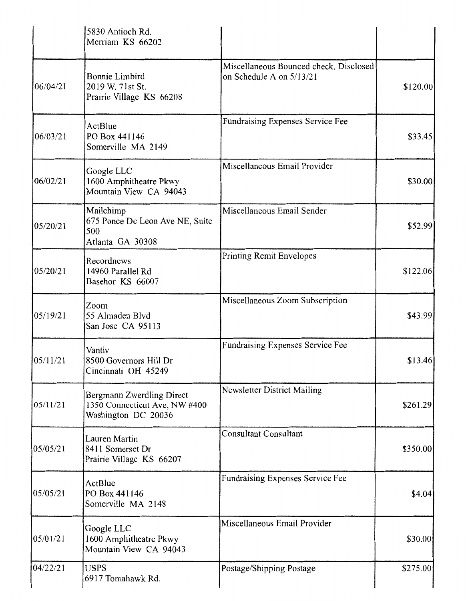|          | 5830 Antioch Rd.<br>Merriam KS 66202                                              |                                                                    |          |
|----------|-----------------------------------------------------------------------------------|--------------------------------------------------------------------|----------|
| 06/04/21 | <b>Bonnie Limbird</b><br>2019 W. 71st St.<br>Prairie Village KS 66208             | Miscellaneous Bounced check. Disclosed<br>on Schedule A on 5/13/21 | \$120.00 |
| 06/03/21 | ActBlue<br>PO Box 441146<br>Somerville MA 2149                                    | Fundraising Expenses Service Fee                                   | \$33.45  |
| 06/02/21 | Google LLC<br>1600 Amphitheatre Pkwy<br>Mountain View CA 94043                    | Miscellaneous Email Provider                                       | \$30.00  |
| 05/20/21 | Mailchimp<br>675 Ponce De Leon Ave NE, Suite<br>500<br>Atlanta GA 30308           | Miscellaneous Email Sender                                         | \$52.99] |
| 05/20/21 | Recordnews<br>14960 Parallel Rd<br>Basehor KS 66007                               | <b>Printing Remit Envelopes</b>                                    | \$122.06 |
| 05/19/21 | Zoom<br>55 Almaden Blvd<br>San Jose CA 95113                                      | Miscellaneous Zoom Subscription                                    | \$43.99  |
| 05/11/21 | Vantiv<br>8500 Governors Hill Dr<br>Cincinnati OH 45249                           | Fundraising Expenses Service Fee                                   | \$13.46  |
| 05/11/21 | Bergmann Zwerdling Direct<br>1350 Connecticut Ave, NW #400<br>Washington DC 20036 | <b>Newsletter District Mailing</b>                                 | \$261.29 |
| 05/05/21 | <b>Lauren Martin</b><br>8411 Somerset Dr<br>Prairie Village KS 66207              | <b>Consultant Consultant</b>                                       | \$350.00 |
| 05/05/21 | ActBlue<br>PO Box 441146<br>Somerville MA 2148                                    | Fundraising Expenses Service Fee                                   | \$4.04   |
| 05/01/21 | Google LLC<br>1600 Amphitheatre Pkwy<br>Mountain View CA 94043                    | Miscellaneous Email Provider                                       | \$30.00  |
| 04/22/21 | <b>USPS</b><br>6917 Tomahawk Rd.                                                  | Postage/Shipping Postage                                           | \$275.00 |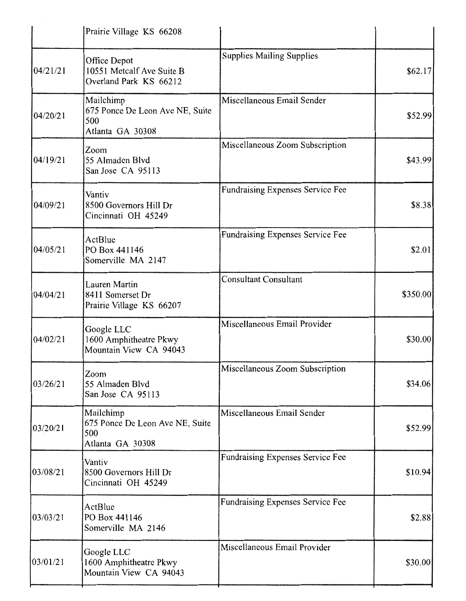|          | Prairie Village KS 66208                                                |                                         |          |
|----------|-------------------------------------------------------------------------|-----------------------------------------|----------|
| 04/21/21 | Office Depot<br>10551 Metcalf Ave Suite B<br>Overland Park KS 66212     | <b>Supplies Mailing Supplies</b>        | \$62.17  |
| 04/20/21 | Mailchimp<br>675 Ponce De Leon Ave NE, Suite<br>500<br>Atlanta GA 30308 | Miscellaneous Email Sender              | \$52.99  |
| 04/19/21 | Zoom<br>55 Almaden Blvd<br>San Jose CA 95113                            | Miscellaneous Zoom Subscription         | \$43.99  |
| 04/09/21 | Vantiv<br>8500 Governors Hill Dr<br>Cincinnati OH 45249                 | Fundraising Expenses Service Fee        | \$8.38   |
| 04/05/21 | ActBlue<br>PO Box 441146<br>Somerville MA 2147                          | Fundraising Expenses Service Fee        | \$2.01   |
| 04/04/21 | <b>Lauren Martin</b><br>8411 Somerset Dr<br>Prairie Village KS 66207    | <b>Consultant Consultant</b>            | \$350.00 |
| 04/02/21 | Google LLC<br>1600 Amphitheatre Pkwy<br>Mountain View CA 94043          | Miscellaneous Email Provider            | \$30.00  |
| 03/26/21 | Zoom<br>55 Almaden Blvd<br>San Jose CA 95113                            | Miscellaneous Zoom Subscription         | \$34.06  |
| 03/20/21 | Mailchimp<br>675 Ponce De Leon Ave NE, Suite<br>500<br>Atlanta GA 30308 | Miscellaneous Email Sender              | \$52.99  |
| 03/08/21 | Vantiv<br>8500 Governors Hill Dr<br>Cincinnati OH 45249                 | Fundraising Expenses Service Fee        | \$10.94  |
| 03/03/21 | ActBlue<br>PO Box 441146<br>Somerville MA 2146                          | <b>Fundraising Expenses Service Fee</b> | \$2.88   |
| 03/01/21 | Google LLC<br>1600 Amphitheatre Pkwy<br>Mountain View CA 94043          | Miscellaneous Email Provider            | \$30.00  |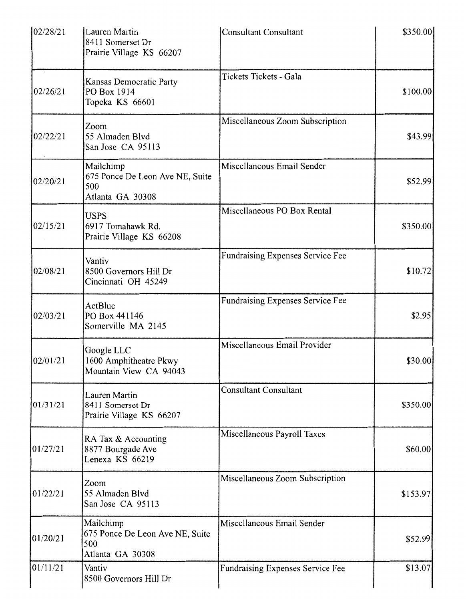| 02/28/21 | Lauren Martin<br>8411 Somerset Dr<br>Prairie Village KS 66207           | <b>Consultant Consultant</b>     | \$350.00  |
|----------|-------------------------------------------------------------------------|----------------------------------|-----------|
| 02/26/21 | Kansas Democratic Party<br>PO Box 1914<br>Topeka KS 66601               | Tickets Tickets - Gala           | \$100.00] |
| 02/22/21 | Zoom<br>55 Almaden Blvd<br>San Jose CA 95113                            | Miscellaneous Zoom Subscription  | \$43.99   |
| 02/20/21 | Mailchimp<br>675 Ponce De Leon Ave NE, Suite<br>500<br>Atlanta GA 30308 | Miscellaneous Email Sender       | \$52.99   |
| 02/15/21 | <b>USPS</b><br>6917 Tomahawk Rd.<br>Prairie Village KS 66208            | Miscellaneous PO Box Rental      | \$350.00  |
| 02/08/21 | Vantiv<br>8500 Governors Hill Dr<br>Cincinnati OH 45249                 | Fundraising Expenses Service Fee | \$10.72   |
| 02/03/21 | ActBlue<br>PO Box 441146<br>Somerville MA 2145                          | Fundraising Expenses Service Fee | \$2.95    |
| 02/01/21 | Google LLC<br>1600 Amphitheatre Pkwy<br>Mountain View CA 94043          | Miscellaneous Email Provider     | \$30.00   |
| 01/31/21 | Lauren Martin<br>8411 Somerset Dr<br>Prairie Village KS 66207           | <b>Consultant Consultant</b>     | \$350.00  |
| 01/27/21 | RA Tax & Accounting<br>8877 Bourgade Ave<br>Lenexa KS 66219             | Miscellaneous Payroll Taxes      | \$60.00   |
| 01/22/21 | Zoom<br>55 Almaden Blvd<br>San Jose CA 95113                            | Miscellaneous Zoom Subscription  | \$153.97  |
| 01/20/21 | Mailchimp<br>675 Ponce De Leon Ave NE, Suite<br>500<br>Atlanta GA 30308 | Miscellaneous Email Sender       | \$52.99   |
| 01/11/21 | Vantiv<br>8500 Governors Hill Dr                                        | Fundraising Expenses Service Fee | \$13.07   |